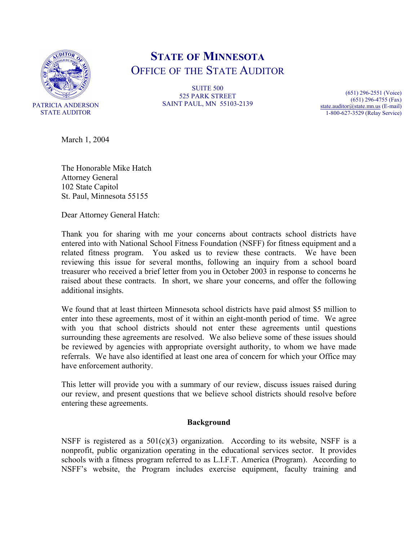

# **STATE OF MINNESOTA** OFFICE OF THE STATE AUDITOR

**SUITE 500** 525 PARK STREET SAINT PAUL, MN 55103-2139

(651) 296-2551 (Voice) (651) 296-4755 (Fax) state.auditor@state.mn.us (E-mail) 1-800-627-3529 (Relay Service)

March 1, 2004

The Honorable Mike Hatch Attorney General 102 State Capitol St. Paul, Minnesota 55155

Dear Attorney General Hatch:

Thank you for sharing with me your concerns about contracts school districts have entered into with National School Fitness Foundation (NSFF) for fitness equipment and a related fitness program. You asked us to review these contracts. We have been reviewing this issue for several months, following an inquiry from a school board treasurer who received a brief letter from you in October 2003 in response to concerns he raised about these contracts. In short, we share your concerns, and offer the following additional insights.

We found that at least thirteen Minnesota school districts have paid almost \$5 million to enter into these agreements, most of it within an eight-month period of time. We agree with you that school districts should not enter these agreements until questions surrounding these agreements are resolved. We also believe some of these issues should be reviewed by agencies with appropriate oversight authority, to whom we have made referrals. We have also identified at least one area of concern for which your Office may have enforcement authority.

This letter will provide you with a summary of our review, discuss issues raised during our review, and present questions that we believe school districts should resolve before entering these agreements.

#### **Background**

NSFF is registered as a  $501(c)(3)$  organization. According to its website, NSFF is a nonprofit, public organization operating in the educational services sector. It provides schools with a fitness program referred to as L.I.F.T. America (Program). According to NSFF's website, the Program includes exercise equipment, faculty training and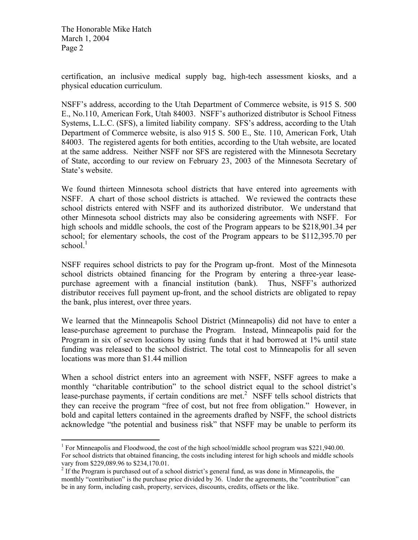<u>.</u>

certification, an inclusive medical supply bag, high-tech assessment kiosks, and a physical education curriculum.

NSFF's address, according to the Utah Department of Commerce website, is 915 S. 500 E., No.110, American Fork, Utah 84003. NSFF's authorized distributor is School Fitness Systems, L.L.C. (SFS), a limited liability company. SFS's address, according to the Utah Department of Commerce website, is also 915 S. 500 E., Ste. 110, American Fork, Utah 84003. The registered agents for both entities, according to the Utah website, are located at the same address. Neither NSFF nor SFS are registered with the Minnesota Secretary of State, according to our review on February 23, 2003 of the Minnesota Secretary of State's website.

We found thirteen Minnesota school districts that have entered into agreements with NSFF. A chart of those school districts is attached. We reviewed the contracts these school districts entered with NSFF and its authorized distributor. We understand that other Minnesota school districts may also be considering agreements with NSFF. For high schools and middle schools, the cost of the Program appears to be \$218,901.34 per school; for elementary schools, the cost of the Program appears to be \$112,395.70 per school. $<sup>1</sup>$ </sup>

NSFF requires school districts to pay for the Program up-front. Most of the Minnesota school districts obtained financing for the Program by entering a three-year leasepurchase agreement with a financial institution (bank). Thus, NSFF's authorized distributor receives full payment up-front, and the school districts are obligated to repay the bank, plus interest, over three years.

We learned that the Minneapolis School District (Minneapolis) did not have to enter a lease-purchase agreement to purchase the Program. Instead, Minneapolis paid for the Program in six of seven locations by using funds that it had borrowed at 1% until state funding was released to the school district. The total cost to Minneapolis for all seven locations was more than \$1.44 million

When a school district enters into an agreement with NSFF, NSFF agrees to make a monthly "charitable contribution" to the school district equal to the school district's lease-purchase payments, if certain conditions are met.<sup>2</sup> NSFF tells school districts that they can receive the program "free of cost, but not free from obligation." However, in bold and capital letters contained in the agreements drafted by NSFF, the school districts acknowledge "the potential and business risk" that NSFF may be unable to perform its

<sup>&</sup>lt;sup>1</sup> For Minneapolis and Floodwood, the cost of the high school/middle school program was \$221,940.00. For school districts that obtained financing, the costs including interest for high schools and middle schools vary from \$229,089.96 to \$234,170.01.

 $2$  If the Program is purchased out of a school district's general fund, as was done in Minneapolis, the monthly "contribution" is the purchase price divided by 36. Under the agreements, the "contribution" can be in any form, including cash, property, services, discounts, credits, offsets or the like.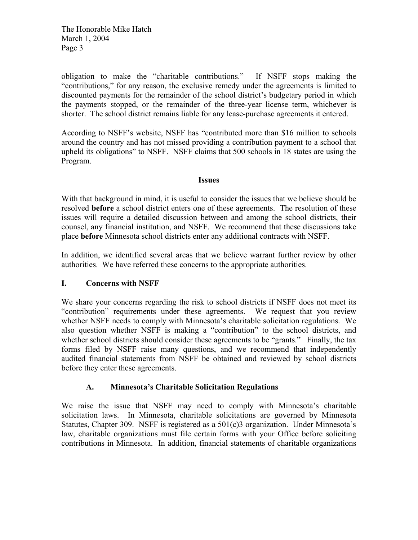obligation to make the "charitable contributions." If NSFF stops making the "contributions," for any reason, the exclusive remedy under the agreements is limited to discounted payments for the remainder of the school district's budgetary period in which the payments stopped, or the remainder of the three-year license term, whichever is shorter. The school district remains liable for any lease-purchase agreements it entered.

According to NSFF's website, NSFF has "contributed more than \$16 million to schools around the country and has not missed providing a contribution payment to a school that upheld its obligations" to NSFF. NSFF claims that 500 schools in 18 states are using the Program.

#### **Issues**

With that background in mind, it is useful to consider the issues that we believe should be resolved **before** a school district enters one of these agreements. The resolution of these issues will require a detailed discussion between and among the school districts, their counsel, any financial institution, and NSFF. We recommend that these discussions take place **before** Minnesota school districts enter any additional contracts with NSFF.

In addition, we identified several areas that we believe warrant further review by other authorities. We have referred these concerns to the appropriate authorities.

## **I. Concerns with NSFF**

We share your concerns regarding the risk to school districts if NSFF does not meet its "contribution" requirements under these agreements. We request that you review whether NSFF needs to comply with Minnesota's charitable solicitation regulations. We also question whether NSFF is making a "contribution" to the school districts, and whether school districts should consider these agreements to be "grants." Finally, the tax forms filed by NSFF raise many questions, and we recommend that independently audited financial statements from NSFF be obtained and reviewed by school districts before they enter these agreements.

## **A. Minnesota's Charitable Solicitation Regulations**

We raise the issue that NSFF may need to comply with Minnesota's charitable solicitation laws. In Minnesota, charitable solicitations are governed by Minnesota Statutes, Chapter 309. NSFF is registered as a 501(c)3 organization. Under Minnesota's law, charitable organizations must file certain forms with your Office before soliciting contributions in Minnesota. In addition, financial statements of charitable organizations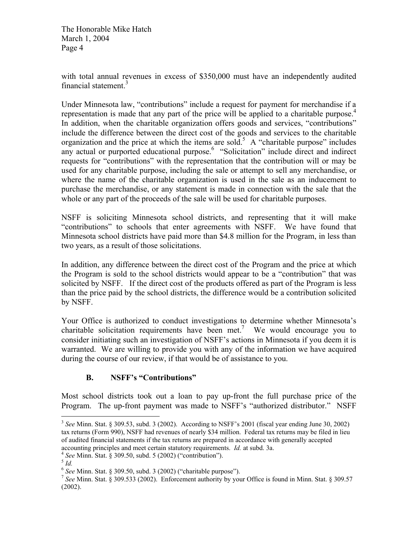with total annual revenues in excess of \$350,000 must have an independently audited financial statement.<sup>3</sup>

Under Minnesota law, "contributions" include a request for payment for merchandise if a representation is made that any part of the price will be applied to a charitable purpose.<sup>4</sup> In addition, when the charitable organization offers goods and services, "contributions" include the difference between the direct cost of the goods and services to the charitable organization and the price at which the items are sold.<sup>5</sup> A "charitable purpose" includes any actual or purported educational purpose.<sup>6</sup> "Solicitation" include direct and indirect requests for "contributions" with the representation that the contribution will or may be used for any charitable purpose, including the sale or attempt to sell any merchandise, or where the name of the charitable organization is used in the sale as an inducement to purchase the merchandise, or any statement is made in connection with the sale that the whole or any part of the proceeds of the sale will be used for charitable purposes.

NSFF is soliciting Minnesota school districts, and representing that it will make "contributions" to schools that enter agreements with NSFF. We have found that Minnesota school districts have paid more than \$4.8 million for the Program, in less than two years, as a result of those solicitations.

In addition, any difference between the direct cost of the Program and the price at which the Program is sold to the school districts would appear to be a "contribution" that was solicited by NSFF. If the direct cost of the products offered as part of the Program is less than the price paid by the school districts, the difference would be a contribution solicited by NSFF.

Your Office is authorized to conduct investigations to determine whether Minnesota's charitable solicitation requirements have been met.<sup>7</sup> We would encourage you to consider initiating such an investigation of NSFF's actions in Minnesota if you deem it is warranted. We are willing to provide you with any of the information we have acquired during the course of our review, if that would be of assistance to you.

# **B. NSFF's "Contributions"**

Most school districts took out a loan to pay up-front the full purchase price of the Program. The up-front payment was made to NSFF's "authorized distributor." NSFF

<sup>3</sup> *See* Minn. Stat. § 309.53, subd. 3 (2002). According to NSFF's 2001 (fiscal year ending June 30, 2002) tax returns (Form 990), NSFF had revenues of nearly \$34 million. Federal tax returns may be filed in lieu of audited financial statements if the tax returns are prepared in accordance with generally accepted accounting principles and meet certain statutory requirements. *Id.* at subd. 3a.

<sup>4</sup> *See* Minn. Stat. § 309.50, subd. 5 (2002) ("contribution").

<sup>5</sup> *Id.*

<sup>6</sup> *See* Minn. Stat. § 309.50, subd. 3 (2002) ("charitable purpose").

<sup>7</sup> *See* Minn. Stat. § 309.533 (2002). Enforcement authority by your Office is found in Minn. Stat. § 309.57 (2002).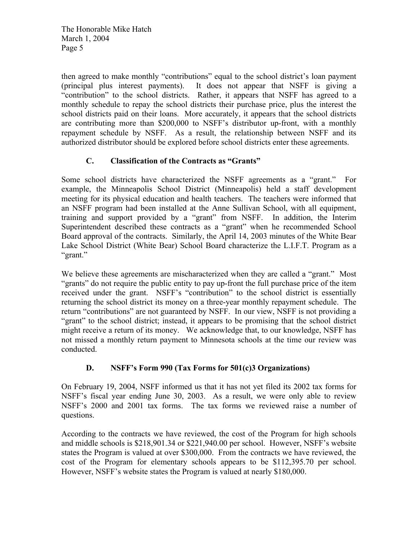then agreed to make monthly "contributions" equal to the school district's loan payment (principal plus interest payments).It does not appear that NSFF is giving a "contribution" to the school districts. Rather, it appears that NSFF has agreed to a monthly schedule to repay the school districts their purchase price, plus the interest the school districts paid on their loans. More accurately, it appears that the school districts are contributing more than \$200,000 to NSFF's distributor up-front, with a monthly repayment schedule by NSFF. As a result, the relationship between NSFF and its authorized distributor should be explored before school districts enter these agreements.

## **C. Classification of the Contracts as "Grants"**

Some school districts have characterized the NSFF agreements as a "grant." For example, the Minneapolis School District (Minneapolis) held a staff development meeting for its physical education and health teachers. The teachers were informed that an NSFF program had been installed at the Anne Sullivan School, with all equipment, training and support provided by a "grant" from NSFF. In addition, the Interim Superintendent described these contracts as a "grant" when he recommended School Board approval of the contracts. Similarly, the April 14, 2003 minutes of the White Bear Lake School District (White Bear) School Board characterize the L.I.F.T. Program as a "grant."

We believe these agreements are mischaracterized when they are called a "grant." Most "grants" do not require the public entity to pay up-front the full purchase price of the item received under the grant. NSFF's "contribution" to the school district is essentially returning the school district its money on a three-year monthly repayment schedule. The return "contributions" are not guaranteed by NSFF. In our view, NSFF is not providing a "grant" to the school district; instead, it appears to be promising that the school district might receive a return of its money. We acknowledge that, to our knowledge, NSFF has not missed a monthly return payment to Minnesota schools at the time our review was conducted.

# **D. NSFF's Form 990 (Tax Forms for 501(c)3 Organizations)**

On February 19, 2004, NSFF informed us that it has not yet filed its 2002 tax forms for NSFF's fiscal year ending June 30, 2003. As a result, we were only able to review NSFF's 2000 and 2001 tax forms. The tax forms we reviewed raise a number of questions.

According to the contracts we have reviewed, the cost of the Program for high schools and middle schools is \$218,901.34 or \$221,940.00 per school. However, NSFF's website states the Program is valued at over \$300,000. From the contracts we have reviewed, the cost of the Program for elementary schools appears to be \$112,395.70 per school. However, NSFF's website states the Program is valued at nearly \$180,000.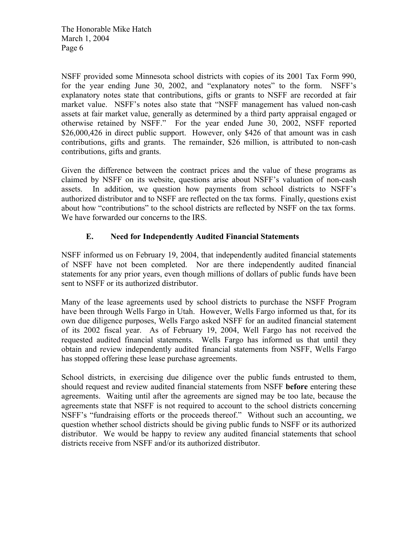NSFF provided some Minnesota school districts with copies of its 2001 Tax Form 990, for the year ending June 30, 2002, and "explanatory notes" to the form. NSFF's explanatory notes state that contributions, gifts or grants to NSFF are recorded at fair market value. NSFF's notes also state that "NSFF management has valued non-cash assets at fair market value, generally as determined by a third party appraisal engaged or otherwise retained by NSFF." For the year ended June 30, 2002, NSFF reported \$26,000,426 in direct public support. However, only \$426 of that amount was in cash contributions, gifts and grants. The remainder, \$26 million, is attributed to non-cash contributions, gifts and grants.

Given the difference between the contract prices and the value of these programs as claimed by NSFF on its website, questions arise about NSFF's valuation of non-cash assets. In addition, we question how payments from school districts to NSFF's authorized distributor and to NSFF are reflected on the tax forms. Finally, questions exist about how "contributions" to the school districts are reflected by NSFF on the tax forms. We have forwarded our concerns to the IRS.

## **E. Need for Independently Audited Financial Statements**

NSFF informed us on February 19, 2004, that independently audited financial statements of NSFF have not been completed. Nor are there independently audited financial statements for any prior years, even though millions of dollars of public funds have been sent to NSFF or its authorized distributor.

Many of the lease agreements used by school districts to purchase the NSFF Program have been through Wells Fargo in Utah. However, Wells Fargo informed us that, for its own due diligence purposes, Wells Fargo asked NSFF for an audited financial statement of its 2002 fiscal year. As of February 19, 2004, Well Fargo has not received the requested audited financial statements. Wells Fargo has informed us that until they obtain and review independently audited financial statements from NSFF, Wells Fargo has stopped offering these lease purchase agreements.

School districts, in exercising due diligence over the public funds entrusted to them, should request and review audited financial statements from NSFF **before** entering these agreements. Waiting until after the agreements are signed may be too late, because the agreements state that NSFF is not required to account to the school districts concerning NSFF's "fundraising efforts or the proceeds thereof." Without such an accounting, we question whether school districts should be giving public funds to NSFF or its authorized distributor. We would be happy to review any audited financial statements that school districts receive from NSFF and/or its authorized distributor.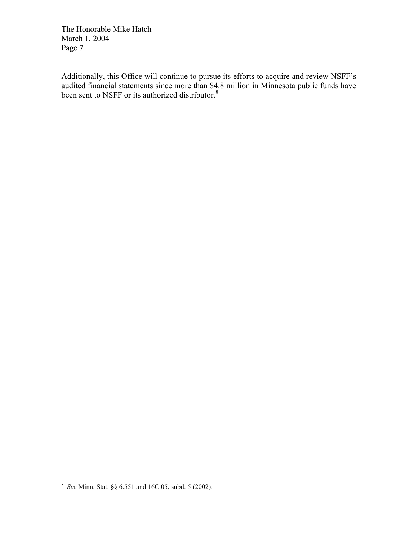Additionally, this Office will continue to pursue its efforts to acquire and review NSFF's audited financial statements since more than \$4.8 million in Minnesota public funds have been sent to NSFF or its authorized distributor.<sup>8</sup>

 8 *See* Minn. Stat. §§ 6.551 and 16C.05, subd. 5 (2002).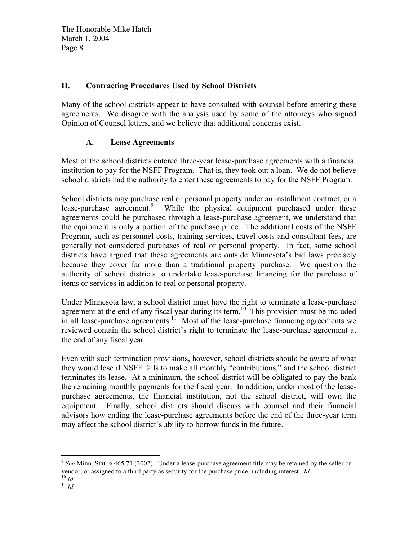## **II. Contracting Procedures Used by School Districts**

Many of the school districts appear to have consulted with counsel before entering these agreements. We disagree with the analysis used by some of the attorneys who signed Opinion of Counsel letters, and we believe that additional concerns exist.

## **A. Lease Agreements**

Most of the school districts entered three-year lease-purchase agreements with a financial institution to pay for the NSFF Program. That is, they took out a loan. We do not believe school districts had the authority to enter these agreements to pay for the NSFF Program.

School districts may purchase real or personal property under an installment contract, or a lease-purchase agreement.<sup>9</sup> While the physical equipment purchased under these agreements could be purchased through a lease-purchase agreement, we understand that the equipment is only a portion of the purchase price. The additional costs of the NSFF Program, such as personnel costs, training services, travel costs and consultant fees, are generally not considered purchases of real or personal property. In fact, some school districts have argued that these agreements are outside Minnesota's bid laws precisely because they cover far more than a traditional property purchase. We question the authority of school districts to undertake lease-purchase financing for the purchase of items or services in addition to real or personal property.

Under Minnesota law, a school district must have the right to terminate a lease-purchase agreement at the end of any fiscal year during its term.<sup>10</sup> This provision must be included in all lease-purchase agreements.<sup>11</sup> Most of the lease-purchase financing agreements we reviewed contain the school district's right to terminate the lease-purchase agreement at the end of any fiscal year.

Even with such termination provisions, however, school districts should be aware of what they would lose if NSFF fails to make all monthly "contributions," and the school district terminates its lease. At a minimum, the school district will be obligated to pay the bank the remaining monthly payments for the fiscal year. In addition, under most of the leasepurchase agreements, the financial institution, not the school district, will own the equipment. Finally, school districts should discuss with counsel and their financial advisors how ending the lease-purchase agreements before the end of the three-year term may affect the school district's ability to borrow funds in the future.

1

<sup>9</sup> *See* Minn. Stat. § 465.71 (2002). Under a lease-purchase agreement title may be retained by the seller or vendor, or assigned to a third party as security for the purchase price, including interest. *Id.* 

<sup>10</sup> *Id.*

 $\int_1^{11} \frac{1}{1} \, dt$ .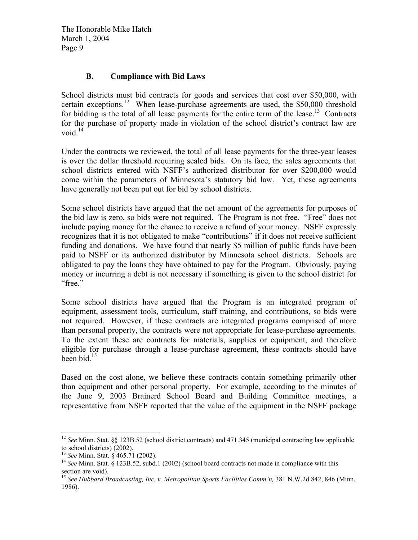#### **B. Compliance with Bid Laws**

School districts must bid contracts for goods and services that cost over \$50,000, with certain exceptions.<sup>12</sup> When lease-purchase agreements are used, the \$50,000 threshold for bidding is the total of all lease payments for the entire term of the lease.<sup>13</sup> Contracts for the purchase of property made in violation of the school district's contract law are void. $14$ 

Under the contracts we reviewed, the total of all lease payments for the three-year leases is over the dollar threshold requiring sealed bids. On its face, the sales agreements that school districts entered with NSFF's authorized distributor for over \$200,000 would come within the parameters of Minnesota's statutory bid law. Yet, these agreements have generally not been put out for bid by school districts.

Some school districts have argued that the net amount of the agreements for purposes of the bid law is zero, so bids were not required. The Program is not free. "Free" does not include paying money for the chance to receive a refund of your money. NSFF expressly recognizes that it is not obligated to make "contributions" if it does not receive sufficient funding and donations. We have found that nearly \$5 million of public funds have been paid to NSFF or its authorized distributor by Minnesota school districts. Schools are obligated to pay the loans they have obtained to pay for the Program. Obviously, paying money or incurring a debt is not necessary if something is given to the school district for "free."

Some school districts have argued that the Program is an integrated program of equipment, assessment tools, curriculum, staff training, and contributions, so bids were not required. However, if these contracts are integrated programs comprised of more than personal property, the contracts were not appropriate for lease-purchase agreements. To the extent these are contracts for materials, supplies or equipment, and therefore eligible for purchase through a lease-purchase agreement, these contracts should have been bid.<sup>15</sup>

Based on the cost alone, we believe these contracts contain something primarily other than equipment and other personal property. For example, according to the minutes of the June 9, 2003 Brainerd School Board and Building Committee meetings, a representative from NSFF reported that the value of the equipment in the NSFF package

1

<sup>&</sup>lt;sup>12</sup> *See* Minn. Stat. §§ 123B.52 (school district contracts) and 471.345 (municipal contracting law applicable to school districts) (2002).

<sup>13</sup> *See* Minn. Stat. § 465.71 (2002).

<sup>&</sup>lt;sup>14</sup> See Minn. Stat. § 123B.52, subd.1 (2002) (school board contracts not made in compliance with this section are void).

<sup>&</sup>lt;sup>15</sup> See Hubbard Broadcasting, Inc. v. Metropolitan Sports Facilities Comm'n, 381 N.W.2d 842, 846 (Minn. 1986).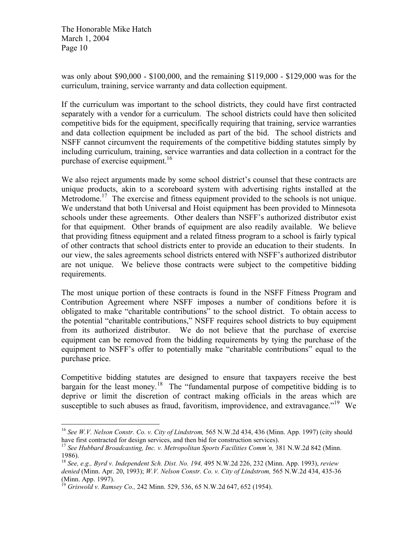was only about \$90,000 - \$100,000, and the remaining \$119,000 - \$129,000 was for the curriculum, training, service warranty and data collection equipment.

If the curriculum was important to the school districts, they could have first contracted separately with a vendor for a curriculum. The school districts could have then solicited competitive bids for the equipment, specifically requiring that training, service warranties and data collection equipment be included as part of the bid. The school districts and NSFF cannot circumvent the requirements of the competitive bidding statutes simply by including curriculum, training, service warranties and data collection in a contract for the purchase of exercise equipment.<sup>16</sup>

We also reject arguments made by some school district's counsel that these contracts are unique products, akin to a scoreboard system with advertising rights installed at the Metrodome.<sup>17</sup> The exercise and fitness equipment provided to the schools is not unique. We understand that both Universal and Hoist equipment has been provided to Minnesota schools under these agreements. Other dealers than NSFF's authorized distributor exist for that equipment. Other brands of equipment are also readily available. We believe that providing fitness equipment and a related fitness program to a school is fairly typical of other contracts that school districts enter to provide an education to their students. In our view, the sales agreements school districts entered with NSFF's authorized distributor are not unique. We believe those contracts were subject to the competitive bidding requirements.

The most unique portion of these contracts is found in the NSFF Fitness Program and Contribution Agreement where NSFF imposes a number of conditions before it is obligated to make "charitable contributions" to the school district. To obtain access to the potential "charitable contributions," NSFF requires school districts to buy equipment from its authorized distributor. We do not believe that the purchase of exercise equipment can be removed from the bidding requirements by tying the purchase of the equipment to NSFF's offer to potentially make "charitable contributions" equal to the purchase price.

Competitive bidding statutes are designed to ensure that taxpayers receive the best bargain for the least money.<sup>18</sup> The "fundamental purpose of competitive bidding is to deprive or limit the discretion of contract making officials in the areas which are susceptible to such abuses as fraud, favoritism, improvidence, and extravagance."<sup>19</sup> We

<sup>&</sup>lt;sup>16</sup> See W.V. Nelson Constr. Co. v. City of Lindstrom, 565 N.W.2d 434, 436 (Minn. App. 1997) (city should have first contracted for design services, and then bid for construction services).

<sup>&</sup>lt;sup>17</sup> See Hubbard Broadcasting, Inc. v. Metropolitan Sports Facilities Comm'n, 381 N.W.2d 842 (Minn. 1986).

<sup>18</sup> *See, e.g., Byrd v. Independent Sch. Dist. No. 194,* 495 N.W.2d 226, 232 (Minn. App. 1993), *review denied* (Minn. Apr. 20, 1993); *W.V. Nelson Constr. Co. v. City of Lindstrom,* 565 N.W.2d 434, 435-36 (Minn. App. 1997).

<sup>19</sup> *Griswold v. Ramsey Co.,* 242 Minn. 529, 536, 65 N.W.2d 647, 652 (1954).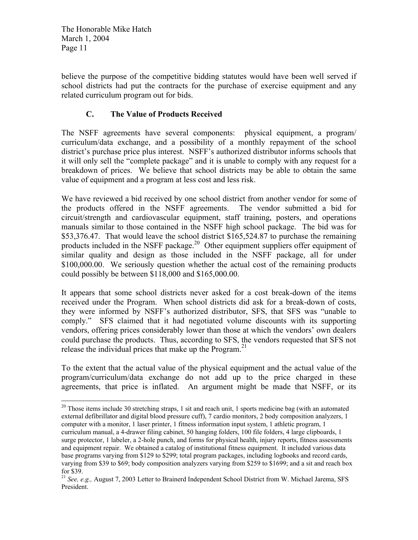believe the purpose of the competitive bidding statutes would have been well served if school districts had put the contracts for the purchase of exercise equipment and any related curriculum program out for bids.

# **C. The Value of Products Received**

The NSFF agreements have several components: physical equipment, a program/ curriculum/data exchange, and a possibility of a monthly repayment of the school district's purchase price plus interest. NSFF's authorized distributor informs schools that it will only sell the "complete package" and it is unable to comply with any request for a breakdown of prices. We believe that school districts may be able to obtain the same value of equipment and a program at less cost and less risk.

We have reviewed a bid received by one school district from another vendor for some of the products offered in the NSFF agreements. The vendor submitted a bid for circuit/strength and cardiovascular equipment, staff training, posters, and operations manuals similar to those contained in the NSFF high school package. The bid was for \$53,376.47. That would leave the school district \$165,524.87 to purchase the remaining products included in the NSFF package.<sup>20</sup> Other equipment suppliers offer equipment of similar quality and design as those included in the NSFF package, all for under \$100,000.00. We seriously question whether the actual cost of the remaining products could possibly be between \$118,000 and \$165,000.00.

It appears that some school districts never asked for a cost break-down of the items received under the Program. When school districts did ask for a break-down of costs, they were informed by NSFF's authorized distributor, SFS, that SFS was "unable to comply." SFS claimed that it had negotiated volume discounts with its supporting vendors, offering prices considerably lower than those at which the vendors' own dealers could purchase the products. Thus, according to SFS, the vendors requested that SFS not release the individual prices that make up the Program.<sup>21</sup>

To the extent that the actual value of the physical equipment and the actual value of the program/curriculum/data exchange do not add up to the price charged in these agreements, that price is inflated. An argument might be made that NSFF, or its

 $\overline{a}$ <sup>20</sup> Those items include 30 stretching straps, 1 sit and reach unit, 1 sports medicine bag (with an automated external defibrillator and digital blood pressure cuff), 7 cardio monitors, 2 body composition analyzers, 1 computer with a monitor, 1 laser printer, 1 fitness information input system, 1 athletic program, 1 curriculum manual, a 4-drawer filing cabinet, 50 hanging folders, 100 file folders, 4 large clipboards, 1 surge protector, 1 labeler, a 2-hole punch, and forms for physical health, injury reports, fitness assessments and equipment repair. We obtained a catalog of institutional fitness equipment. It included various data base programs varying from \$129 to \$299; total program packages, including logbooks and record cards, varying from \$39 to \$69; body composition analyzers varying from \$259 to \$1699; and a sit and reach box for \$39.

<sup>21</sup> *See, e.g.,* August 7, 2003 Letter to Brainerd Independent School District from W. Michael Jarema, SFS President.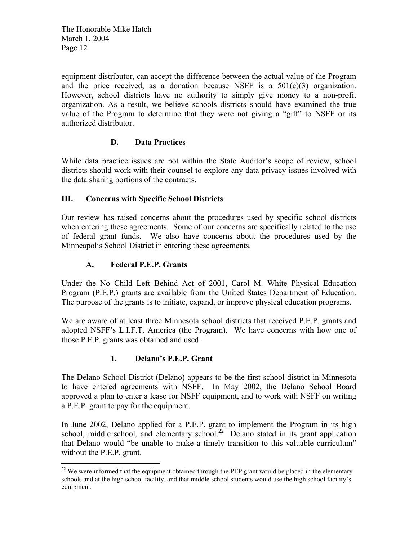equipment distributor, can accept the difference between the actual value of the Program and the price received, as a donation because NSFF is a  $501(c)(3)$  organization. However, school districts have no authority to simply give money to a non-profit organization. As a result, we believe schools districts should have examined the true value of the Program to determine that they were not giving a "gift" to NSFF or its authorized distributor.

## **D. Data Practices**

While data practice issues are not within the State Auditor's scope of review, school districts should work with their counsel to explore any data privacy issues involved with the data sharing portions of the contracts.

## **III. Concerns with Specific School Districts**

Our review has raised concerns about the procedures used by specific school districts when entering these agreements. Some of our concerns are specifically related to the use of federal grant funds. We also have concerns about the procedures used by the Minneapolis School District in entering these agreements.

## **A. Federal P.E.P. Grants**

 $\overline{a}$ 

Under the No Child Left Behind Act of 2001, Carol M. White Physical Education Program (P.E.P.) grants are available from the United States Department of Education. The purpose of the grants is to initiate, expand, or improve physical education programs.

We are aware of at least three Minnesota school districts that received P.E.P. grants and adopted NSFF's L.I.F.T. America (the Program). We have concerns with how one of those P.E.P. grants was obtained and used.

## **1. Delano's P.E.P. Grant**

The Delano School District (Delano) appears to be the first school district in Minnesota to have entered agreements with NSFF. In May 2002, the Delano School Board approved a plan to enter a lease for NSFF equipment, and to work with NSFF on writing a P.E.P. grant to pay for the equipment.

In June 2002, Delano applied for a P.E.P. grant to implement the Program in its high school, middle school, and elementary school.<sup>22</sup> Delano stated in its grant application that Delano would "be unable to make a timely transition to this valuable curriculum" without the P.E.P. grant.

 $22$  We were informed that the equipment obtained through the PEP grant would be placed in the elementary schools and at the high school facility, and that middle school students would use the high school facility's equipment.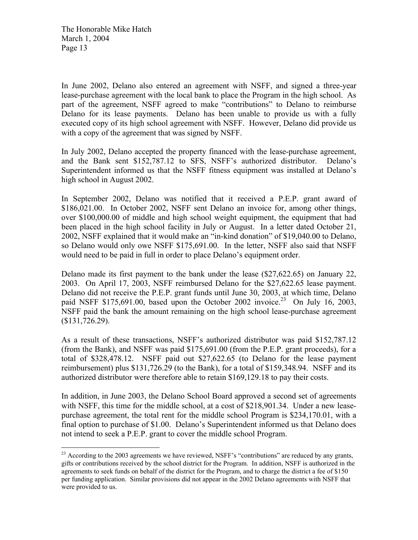$\overline{a}$ 

In June 2002, Delano also entered an agreement with NSFF, and signed a three-year lease-purchase agreement with the local bank to place the Program in the high school. As part of the agreement, NSFF agreed to make "contributions" to Delano to reimburse Delano for its lease payments. Delano has been unable to provide us with a fully executed copy of its high school agreement with NSFF. However, Delano did provide us with a copy of the agreement that was signed by NSFF.

In July 2002, Delano accepted the property financed with the lease-purchase agreement, and the Bank sent \$152,787.12 to SFS, NSFF's authorized distributor. Delano's Superintendent informed us that the NSFF fitness equipment was installed at Delano's high school in August 2002.

In September 2002, Delano was notified that it received a P.E.P. grant award of \$186,021.00. In October 2002, NSFF sent Delano an invoice for, among other things, over \$100,000.00 of middle and high school weight equipment, the equipment that had been placed in the high school facility in July or August. In a letter dated October 21, 2002, NSFF explained that it would make an "in-kind donation" of \$19,040.00 to Delano, so Delano would only owe NSFF \$175,691.00. In the letter, NSFF also said that NSFF would need to be paid in full in order to place Delano's equipment order.

Delano made its first payment to the bank under the lease (\$27,622.65) on January 22, 2003. On April 17, 2003, NSFF reimbursed Delano for the \$27,622.65 lease payment. Delano did not receive the P.E.P. grant funds until June 30, 2003, at which time, Delano paid NSFF \$175,691.00, based upon the October 2002 invoice.<sup>23</sup> On July 16, 2003, NSFF paid the bank the amount remaining on the high school lease-purchase agreement (\$131,726.29).

As a result of these transactions, NSFF's authorized distributor was paid \$152,787.12 (from the Bank), and NSFF was paid \$175,691.00 (from the P.E.P. grant proceeds), for a total of \$328,478.12. NSFF paid out \$27,622.65 (to Delano for the lease payment reimbursement) plus \$131,726.29 (to the Bank), for a total of \$159,348.94. NSFF and its authorized distributor were therefore able to retain \$169,129.18 to pay their costs.

In addition, in June 2003, the Delano School Board approved a second set of agreements with NSFF, this time for the middle school, at a cost of \$218,901.34. Under a new leasepurchase agreement, the total rent for the middle school Program is \$234,170.01, with a final option to purchase of \$1.00. Delano's Superintendent informed us that Delano does not intend to seek a P.E.P. grant to cover the middle school Program.

 $^{23}$  According to the 2003 agreements we have reviewed, NSFF's "contributions" are reduced by any grants, gifts or contributions received by the school district for the Program. In addition, NSFF is authorized in the agreements to seek funds on behalf of the district for the Program, and to charge the district a fee of \$150 per funding application. Similar provisions did not appear in the 2002 Delano agreements with NSFF that were provided to us.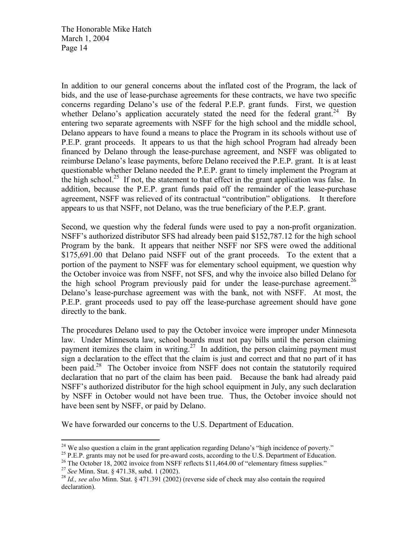In addition to our general concerns about the inflated cost of the Program, the lack of bids, and the use of lease-purchase agreements for these contracts, we have two specific concerns regarding Delano's use of the federal P.E.P. grant funds. First, we question whether Delano's application accurately stated the need for the federal grant.<sup>24</sup> By entering two separate agreements with NSFF for the high school and the middle school, Delano appears to have found a means to place the Program in its schools without use of P.E.P. grant proceeds. It appears to us that the high school Program had already been financed by Delano through the lease-purchase agreement, and NSFF was obligated to reimburse Delano's lease payments, before Delano received the P.E.P. grant. It is at least questionable whether Delano needed the P.E.P. grant to timely implement the Program at the high school.<sup>25</sup> If not, the statement to that effect in the grant application was false. In addition, because the P.E.P. grant funds paid off the remainder of the lease-purchase agreement, NSFF was relieved of its contractual "contribution" obligations. It therefore appears to us that NSFF, not Delano, was the true beneficiary of the P.E.P. grant.

Second, we question why the federal funds were used to pay a non-profit organization. NSFF's authorized distributor SFS had already been paid \$152,787.12 for the high school Program by the bank. It appears that neither NSFF nor SFS were owed the additional \$175,691.00 that Delano paid NSFF out of the grant proceeds. To the extent that a portion of the payment to NSFF was for elementary school equipment, we question why the October invoice was from NSFF, not SFS, and why the invoice also billed Delano for the high school Program previously paid for under the lease-purchase agreement.<sup>26</sup> Delano's lease-purchase agreement was with the bank, not with NSFF. At most, the P.E.P. grant proceeds used to pay off the lease-purchase agreement should have gone directly to the bank.

The procedures Delano used to pay the October invoice were improper under Minnesota law. Under Minnesota law, school boards must not pay bills until the person claiming payment itemizes the claim in writing.<sup>27</sup> In addition, the person claiming payment must sign a declaration to the effect that the claim is just and correct and that no part of it has been paid.<sup>28</sup> The October invoice from NSFF does not contain the statutorily required declaration that no part of the claim has been paid. Because the bank had already paid NSFF's authorized distributor for the high school equipment in July, any such declaration by NSFF in October would not have been true. Thus, the October invoice should not have been sent by NSFF, or paid by Delano.

We have forwarded our concerns to the U.S. Department of Education.

 $24$  We also question a claim in the grant application regarding Delano's "high incidence of poverty."

<sup>&</sup>lt;sup>25</sup> P.E.P. grants may not be used for pre-award costs, according to the U.S. Department of Education.

<sup>&</sup>lt;sup>26</sup> The October 18, 2002 invoice from NSFF reflects \$11,464.00 of "elementary fitness supplies."

<sup>27</sup> *See* Minn. Stat. § 471.38, subd. 1 (2002).

<sup>28</sup> *Id., see also* Minn. Stat. § 471.391 (2002) (reverse side of check may also contain the required declaration).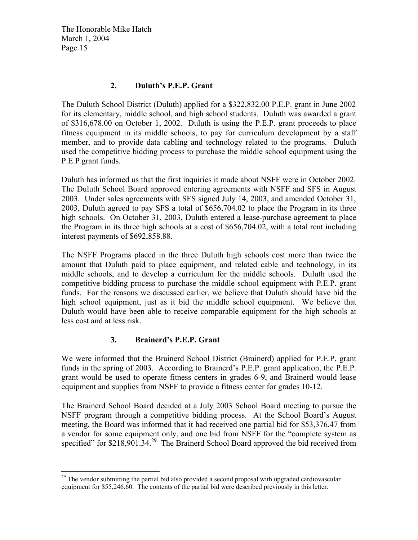#### **2. Duluth's P.E.P. Grant**

The Duluth School District (Duluth) applied for a \$322,832.00 P.E.P. grant in June 2002 for its elementary, middle school, and high school students. Duluth was awarded a grant of \$316,678.00 on October 1, 2002. Duluth is using the P.E.P. grant proceeds to place fitness equipment in its middle schools, to pay for curriculum development by a staff member, and to provide data cabling and technology related to the programs. Duluth used the competitive bidding process to purchase the middle school equipment using the P.E.P grant funds.

Duluth has informed us that the first inquiries it made about NSFF were in October 2002. The Duluth School Board approved entering agreements with NSFF and SFS in August 2003. Under sales agreements with SFS signed July 14, 2003, and amended October 31, 2003, Duluth agreed to pay SFS a total of \$656,704.02 to place the Program in its three high schools. On October 31, 2003, Duluth entered a lease-purchase agreement to place the Program in its three high schools at a cost of \$656,704.02, with a total rent including interest payments of \$692,858.88.

The NSFF Programs placed in the three Duluth high schools cost more than twice the amount that Duluth paid to place equipment, and related cable and technology, in its middle schools, and to develop a curriculum for the middle schools. Duluth used the competitive bidding process to purchase the middle school equipment with P.E.P. grant funds. For the reasons we discussed earlier, we believe that Duluth should have bid the high school equipment, just as it bid the middle school equipment. We believe that Duluth would have been able to receive comparable equipment for the high schools at less cost and at less risk.

## **3. Brainerd's P.E.P. Grant**

1

We were informed that the Brainerd School District (Brainerd) applied for P.E.P. grant funds in the spring of 2003. According to Brainerd's P.E.P. grant application, the P.E.P. grant would be used to operate fitness centers in grades 6-9, and Brainerd would lease equipment and supplies from NSFF to provide a fitness center for grades 10-12.

The Brainerd School Board decided at a July 2003 School Board meeting to pursue the NSFF program through a competitive bidding process. At the School Board's August meeting, the Board was informed that it had received one partial bid for \$53,376.47 from a vendor for some equipment only, and one bid from NSFF for the "complete system as specified" for  $$218,901.34.<sup>29</sup>$  The Brainerd School Board approved the bid received from

 $^{29}$  The vendor submitting the partial bid also provided a second proposal with upgraded cardiovascular equipment for \$55,246.60. The contents of the partial bid were described previously in this letter.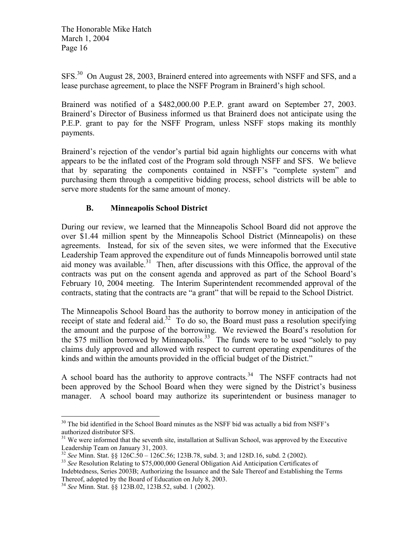SFS.<sup>30</sup> On August 28, 2003, Brainerd entered into agreements with NSFF and SFS, and a lease purchase agreement, to place the NSFF Program in Brainerd's high school.

Brainerd was notified of a \$482,000.00 P.E.P. grant award on September 27, 2003. Brainerd's Director of Business informed us that Brainerd does not anticipate using the P.E.P. grant to pay for the NSFF Program, unless NSFF stops making its monthly payments.

Brainerd's rejection of the vendor's partial bid again highlights our concerns with what appears to be the inflated cost of the Program sold through NSFF and SFS. We believe that by separating the components contained in NSFF's "complete system" and purchasing them through a competitive bidding process, school districts will be able to serve more students for the same amount of money.

## **B. Minneapolis School District**

During our review, we learned that the Minneapolis School Board did not approve the over \$1.44 million spent by the Minneapolis School District (Minneapolis) on these agreements. Instead, for six of the seven sites, we were informed that the Executive Leadership Team approved the expenditure out of funds Minneapolis borrowed until state aid money was available.<sup>31</sup> Then, after discussions with this Office, the approval of the contracts was put on the consent agenda and approved as part of the School Board's February 10, 2004 meeting. The Interim Superintendent recommended approval of the contracts, stating that the contracts are "a grant" that will be repaid to the School District.

The Minneapolis School Board has the authority to borrow money in anticipation of the receipt of state and federal aid.<sup>32</sup> To do so, the Board must pass a resolution specifying the amount and the purpose of the borrowing. We reviewed the Board's resolution for the \$75 million borrowed by Minneapolis.<sup>33</sup> The funds were to be used "solely to pay claims duly approved and allowed with respect to current operating expenditures of the kinds and within the amounts provided in the official budget of the District."

A school board has the authority to approve contracts.<sup>34</sup> The NSFF contracts had not been approved by the School Board when they were signed by the District's business manager. A school board may authorize its superintendent or business manager to

 $\overline{a}$  $30$  The bid identified in the School Board minutes as the NSFF bid was actually a bid from NSFF's authorized distributor SFS.

<sup>&</sup>lt;sup>31</sup> We were informed that the seventh site, installation at Sullivan School, was approved by the Executive Leadership Team on January 31, 2003.

<sup>32</sup> *See* Minn. Stat. §§ 126C.50 – 126C.56; 123B.78, subd. 3; and 128D.16, subd. 2 (2002).

<sup>33</sup> *See* Resolution Relating to \$75,000,000 General Obligation Aid Anticipation Certificates of Indebtedness, Series 2003B; Authorizing the Issuance and the Sale Thereof and Establishing the Terms Thereof, adopted by the Board of Education on July 8, 2003.

<sup>34</sup> *See* Minn. Stat. §§ 123B.02, 123B.52, subd. 1 (2002).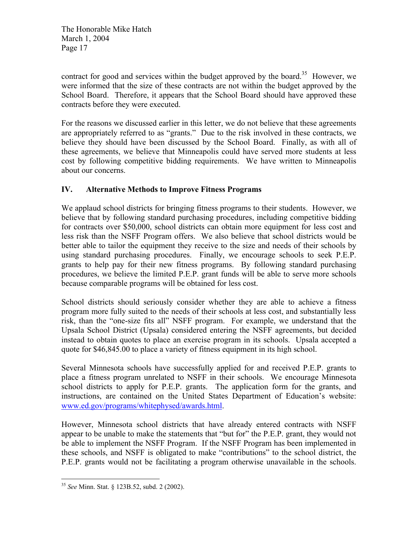contract for good and services within the budget approved by the board.<sup>35</sup> However, we were informed that the size of these contracts are not within the budget approved by the School Board. Therefore, it appears that the School Board should have approved these contracts before they were executed.

For the reasons we discussed earlier in this letter, we do not believe that these agreements are appropriately referred to as "grants." Due to the risk involved in these contracts, we believe they should have been discussed by the School Board. Finally, as with all of these agreements, we believe that Minneapolis could have served more students at less cost by following competitive bidding requirements. We have written to Minneapolis about our concerns.

## **IV. Alternative Methods to Improve Fitness Programs**

We applaud school districts for bringing fitness programs to their students. However, we believe that by following standard purchasing procedures, including competitive bidding for contracts over \$50,000, school districts can obtain more equipment for less cost and less risk than the NSFF Program offers. We also believe that school districts would be better able to tailor the equipment they receive to the size and needs of their schools by using standard purchasing procedures. Finally, we encourage schools to seek P.E.P. grants to help pay for their new fitness programs. By following standard purchasing procedures, we believe the limited P.E.P. grant funds will be able to serve more schools because comparable programs will be obtained for less cost.

School districts should seriously consider whether they are able to achieve a fitness program more fully suited to the needs of their schools at less cost, and substantially less risk, than the "one-size fits all" NSFF program. For example, we understand that the Upsala School District (Upsala) considered entering the NSFF agreements, but decided instead to obtain quotes to place an exercise program in its schools. Upsala accepted a quote for \$46,845.00 to place a variety of fitness equipment in its high school.

Several Minnesota schools have successfully applied for and received P.E.P. grants to place a fitness program unrelated to NSFF in their schools. We encourage Minnesota school districts to apply for P.E.P. grants. The application form for the grants, and instructions, are contained on the United States Department of Education's website: www.ed.gov/programs/whitephysed/awards.html.

However, Minnesota school districts that have already entered contracts with NSFF appear to be unable to make the statements that "but for" the P.E.P. grant, they would not be able to implement the NSFF Program. If the NSFF Program has been implemented in these schools, and NSFF is obligated to make "contributions" to the school district, the P.E.P. grants would not be facilitating a program otherwise unavailable in the schools.

<sup>35</sup> *See* Minn. Stat. § 123B.52, subd. 2 (2002).